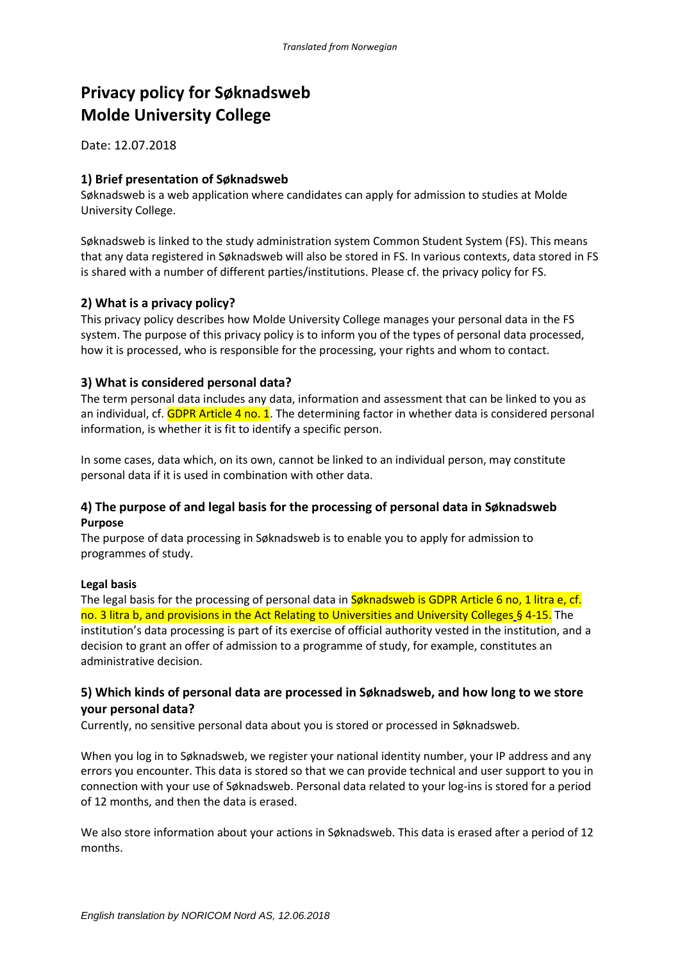# **Privacy policy for Søknadsweb Molde University College**

Date: 12.07.2018

## **1) Brief presentation of Søknadsweb**

Søknadsweb is a web application where candidates can apply for admission to studies at Molde University College.

Søknadsweb is linked to the study administration system Common Student System (FS). This means that any data registered in Søknadsweb will also be stored in FS. In various contexts, data stored in FS is shared with a number of different parties/institutions. Please cf. the privacy policy for FS.

## **2) What is a privacy policy?**

This privacy policy describes how Molde University College manages your personal data in the FS system. The purpose of this privacy policy is to inform you of the types of personal data processed, how it is processed, who is responsible for the processing, your rights and whom to contact.

## **3) What is considered personal data?**

The term personal data includes any data, information and assessment that can be linked to you as an individual, cf. GDPR Article 4 no. 1. The determining factor in whether data is considered personal information, is whether it is fit to identify a specific person.

In some cases, data which, on its own, cannot be linked to an individual person, may constitute personal data if it is used in combination with other data.

## **4) The purpose of and legal basis for the processing of personal data in Søknadsweb Purpose**

The purpose of data processing in Søknadsweb is to enable you to apply for admission to programmes of study.

#### **Legal basis**

The legal basis for the processing of personal data in Søknadsweb is GDPR Article 6 no, 1 litra e, cf. no. 3 litra b, and provisions in the Act Relating to Universities and University Colleges § 4-15. The institution's data processing is part of its exercise of official authority vested in the institution, and a decision to grant an offer of admission to a programme of study, for example, constitutes an administrative decision.

## **5) Which kinds of personal data are processed in Søknadsweb, and how long to we store your personal data?**

Currently, no sensitive personal data about you is stored or processed in Søknadsweb.

When you log in to Søknadsweb, we register your national identity number, your IP address and any errors you encounter. This data is stored so that we can provide technical and user support to you in connection with your use of Søknadsweb. Personal data related to your log-ins is stored for a period of 12 months, and then the data is erased.

We also store information about your actions in Søknadsweb. This data is erased after a period of 12 months.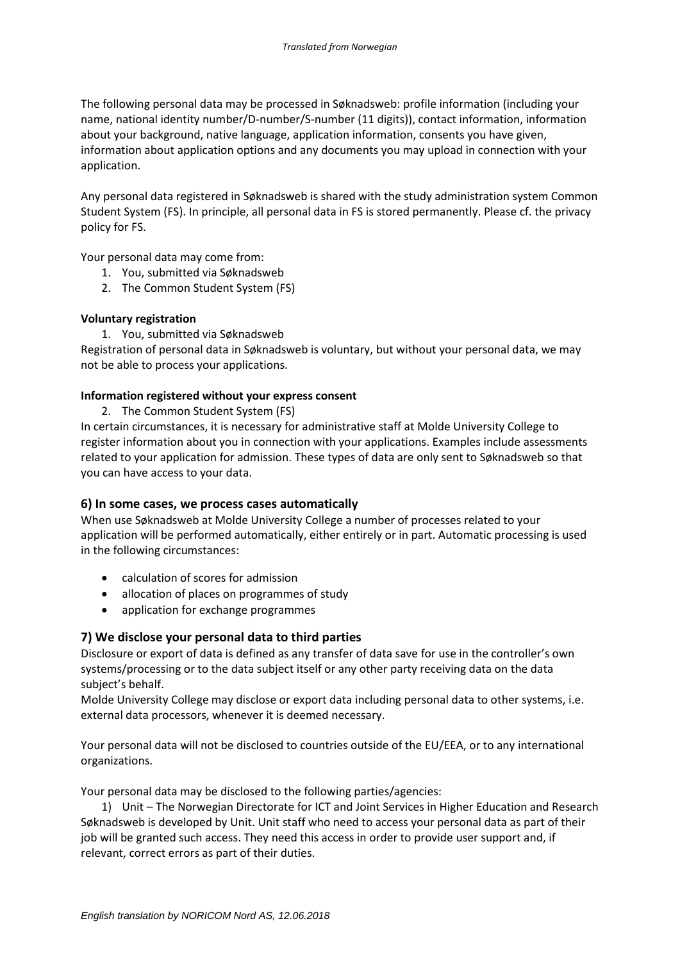The following personal data may be processed in Søknadsweb: profile information (including your name, national identity number/D-number/S-number (11 digits)), contact information, information about your background, native language, application information, consents you have given, information about application options and any documents you may upload in connection with your application.

Any personal data registered in Søknadsweb is shared with the study administration system Common Student System (FS). In principle, all personal data in FS is stored permanently. Please cf. the privacy policy for FS.

Your personal data may come from:

- 1. You, submitted via Søknadsweb
- 2. The Common Student System (FS)

#### **Voluntary registration**

1. You, submitted via Søknadsweb

Registration of personal data in Søknadsweb is voluntary, but without your personal data, we may not be able to process your applications.

#### **Information registered without your express consent**

2. The Common Student System (FS)

In certain circumstances, it is necessary for administrative staff at Molde University College to register information about you in connection with your applications. Examples include assessments related to your application for admission. These types of data are only sent to Søknadsweb so that you can have access to your data.

## **6) In some cases, we process cases automatically**

When use Søknadsweb at Molde University College a number of processes related to your application will be performed automatically, either entirely or in part. Automatic processing is used in the following circumstances:

- calculation of scores for admission
- allocation of places on programmes of study
- application for exchange programmes

## **7) We disclose your personal data to third parties**

Disclosure or export of data is defined as any transfer of data save for use in the controller's own systems/processing or to the data subject itself or any other party receiving data on the data subject's behalf.

Molde University College may disclose or export data including personal data to other systems, i.e. external data processors, whenever it is deemed necessary.

Your personal data will not be disclosed to countries outside of the EU/EEA, or to any international organizations.

Your personal data may be disclosed to the following parties/agencies:

1) Unit – The Norwegian Directorate for ICT and Joint Services in Higher Education and Research Søknadsweb is developed by Unit. Unit staff who need to access your personal data as part of their job will be granted such access. They need this access in order to provide user support and, if relevant, correct errors as part of their duties.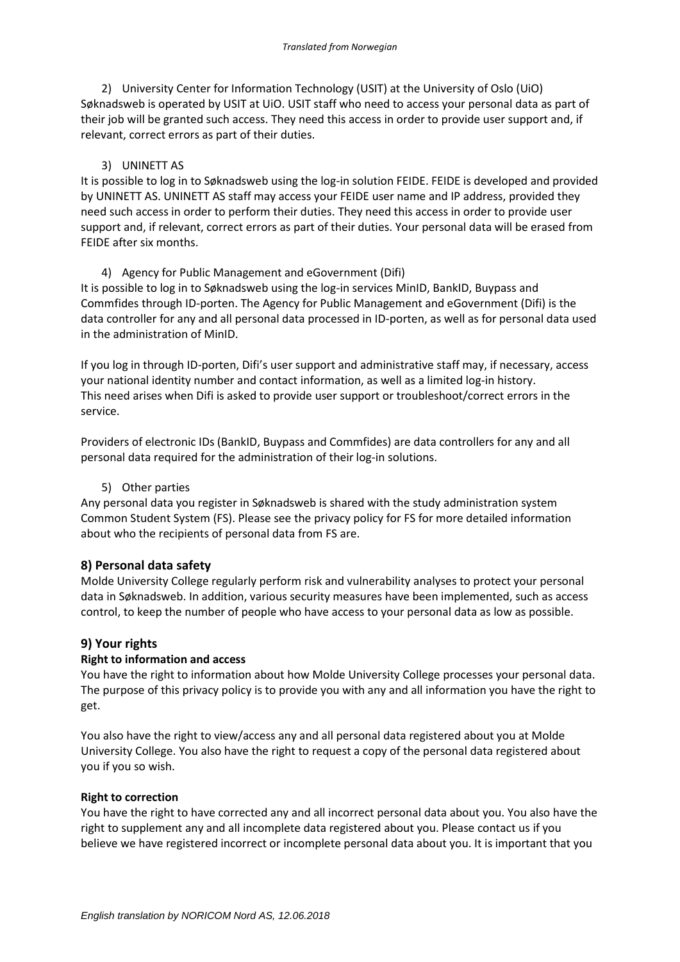2) University Center for Information Technology (USIT) at the University of Oslo (UiO) Søknadsweb is operated by USIT at UiO. USIT staff who need to access your personal data as part of their job will be granted such access. They need this access in order to provide user support and, if relevant, correct errors as part of their duties.

## 3) UNINETT AS

It is possible to log in to Søknadsweb using the log-in solution FEIDE. FEIDE is developed and provided by UNINETT AS. UNINETT AS staff may access your FEIDE user name and IP address, provided they need such access in order to perform their duties. They need this access in order to provide user support and, if relevant, correct errors as part of their duties. Your personal data will be erased from FEIDE after six months.

## 4) Agency for Public Management and eGovernment (Difi)

It is possible to log in to Søknadsweb using the log-in services MinID, BankID, Buypass and Commfides through ID-porten. The Agency for Public Management and eGovernment (Difi) is the data controller for any and all personal data processed in ID-porten, as well as for personal data used in the administration of MinID.

If you log in through ID-porten, Difi's user support and administrative staff may, if necessary, access your national identity number and contact information, as well as a limited log-in history. This need arises when Difi is asked to provide user support or troubleshoot/correct errors in the service.

Providers of electronic IDs (BankID, Buypass and Commfides) are data controllers for any and all personal data required for the administration of their log-in solutions.

#### 5) Other parties

Any personal data you register in Søknadsweb is shared with the study administration system Common Student System (FS). Please see the privacy policy for FS for more detailed information about who the recipients of personal data from FS are.

## **8) Personal data safety**

Molde University College regularly perform risk and vulnerability analyses to protect your personal data in Søknadsweb. In addition, various security measures have been implemented, such as access control, to keep the number of people who have access to your personal data as low as possible.

## **9) Your rights**

## **Right to information and access**

You have the right to information about how Molde University College processes your personal data. The purpose of this privacy policy is to provide you with any and all information you have the right to get.

You also have the right to view/access any and all personal data registered about you at Molde University College. You also have the right to request a copy of the personal data registered about you if you so wish.

#### **Right to correction**

You have the right to have corrected any and all incorrect personal data about you. You also have the right to supplement any and all incomplete data registered about you. Please contact us if you believe we have registered incorrect or incomplete personal data about you. It is important that you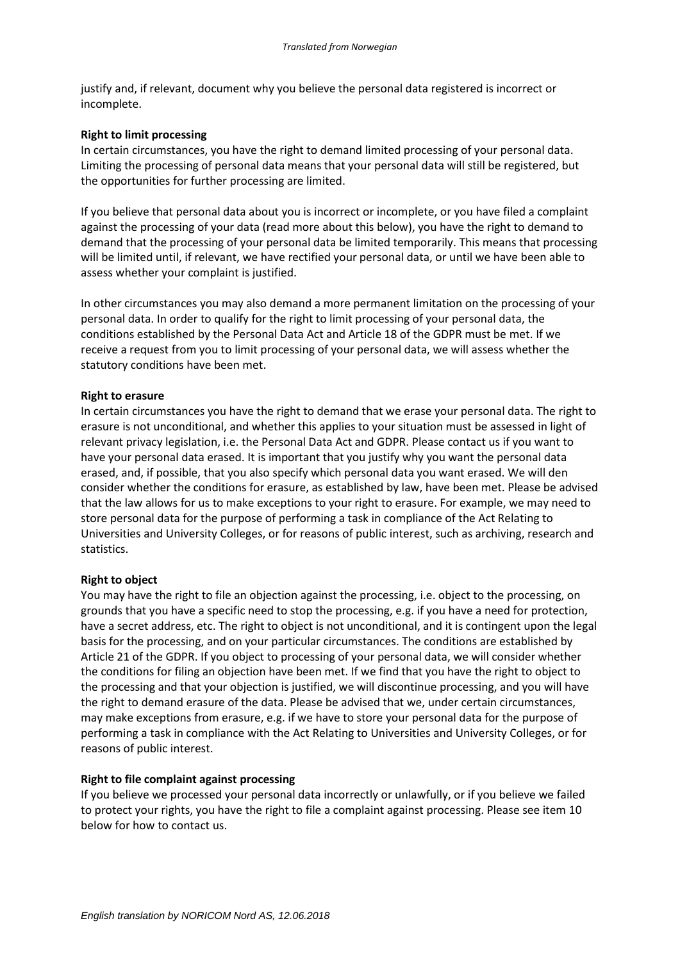justify and, if relevant, document why you believe the personal data registered is incorrect or incomplete.

#### **Right to limit processing**

In certain circumstances, you have the right to demand limited processing of your personal data. Limiting the processing of personal data means that your personal data will still be registered, but the opportunities for further processing are limited.

If you believe that personal data about you is incorrect or incomplete, or you have filed a complaint against the processing of your data (read more about this below), you have the right to demand to demand that the processing of your personal data be limited temporarily. This means that processing will be limited until, if relevant, we have rectified your personal data, or until we have been able to assess whether your complaint is justified.

In other circumstances you may also demand a more permanent limitation on the processing of your personal data. In order to qualify for the right to limit processing of your personal data, the conditions established by the Personal Data Act and Article 18 of the GDPR must be met. If we receive a request from you to limit processing of your personal data, we will assess whether the statutory conditions have been met.

#### **Right to erasure**

In certain circumstances you have the right to demand that we erase your personal data. The right to erasure is not unconditional, and whether this applies to your situation must be assessed in light of relevant privacy legislation, i.e. the Personal Data Act and GDPR. Please contact us if you want to have your personal data erased. It is important that you justify why you want the personal data erased, and, if possible, that you also specify which personal data you want erased. We will den consider whether the conditions for erasure, as established by law, have been met. Please be advised that the law allows for us to make exceptions to your right to erasure. For example, we may need to store personal data for the purpose of performing a task in compliance of the Act Relating to Universities and University Colleges, or for reasons of public interest, such as archiving, research and statistics.

#### **Right to object**

You may have the right to file an objection against the processing, i.e. object to the processing, on grounds that you have a specific need to stop the processing, e.g. if you have a need for protection, have a secret address, etc. The right to object is not unconditional, and it is contingent upon the legal basis for the processing, and on your particular circumstances. The conditions are established by Article 21 of the GDPR. If you object to processing of your personal data, we will consider whether the conditions for filing an objection have been met. If we find that you have the right to object to the processing and that your objection is justified, we will discontinue processing, and you will have the right to demand erasure of the data. Please be advised that we, under certain circumstances, may make exceptions from erasure, e.g. if we have to store your personal data for the purpose of performing a task in compliance with the Act Relating to Universities and University Colleges, or for reasons of public interest.

#### **Right to file complaint against processing**

If you believe we processed your personal data incorrectly or unlawfully, or if you believe we failed to protect your rights, you have the right to file a complaint against processing. Please see item 10 below for how to contact us.